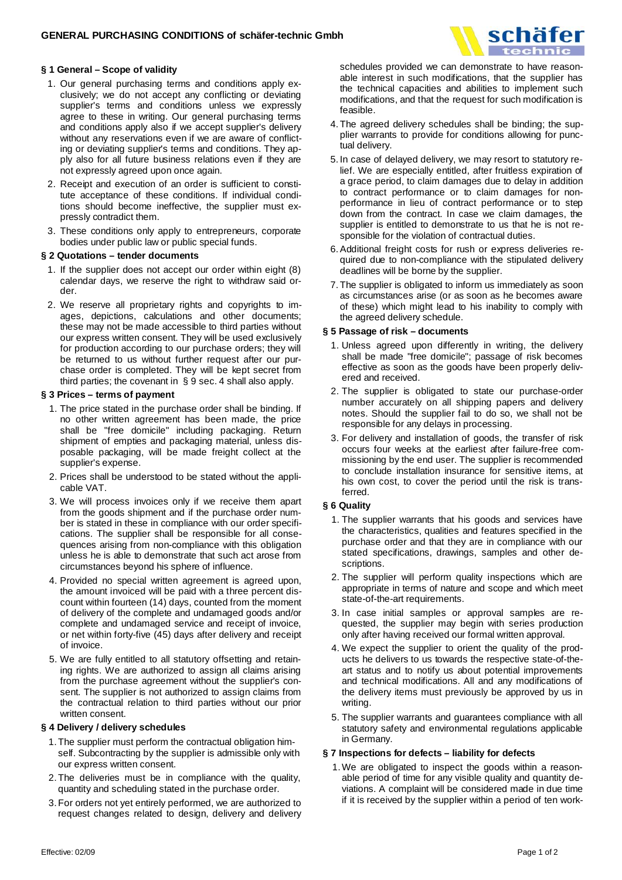

# **§ 1 General – Scope of validity**

- 1. Our general purchasing terms and conditions apply exclusively; we do not accept any conflicting or deviating supplier's terms and conditions unless we expressly agree to these in writing. Our general purchasing terms and conditions apply also if we accept supplier's delivery without any reservations even if we are aware of conflicting or deviating supplier's terms and conditions. They apply also for all future business relations even if they are not expressly agreed upon once again.
- 2. Receipt and execution of an order is sufficient to constitute acceptance of these conditions. If individual conditions should become ineffective, the supplier must expressly contradict them.
- 3. These conditions only apply to entrepreneurs, corporate bodies under public law or public special funds.

#### **§ 2 Quotations – tender documents**

- 1. If the supplier does not accept our order within eight (8) calendar days, we reserve the right to withdraw said order.
- 2. We reserve all proprietary rights and copyrights to images, depictions, calculations and other documents; these may not be made accessible to third parties without our express written consent. They will be used exclusively for production according to our purchase orders; they will be returned to us without further request after our purchase order is completed. They will be kept secret from third parties; the covenant in § 9 sec. 4 shall also apply.

## **§ 3 Prices – terms of payment**

- 1. The price stated in the purchase order shall be binding. If no other written agreement has been made, the price shall be "free domicile" including packaging. Return shipment of empties and packaging material, unless disposable packaging, will be made freight collect at the supplier's expense.
- 2. Prices shall be understood to be stated without the applicable VAT.
- 3. We will process invoices only if we receive them apart from the goods shipment and if the purchase order number is stated in these in compliance with our order specifications. The supplier shall be responsible for all consequences arising from non-compliance with this obligation unless he is able to demonstrate that such act arose from circumstances beyond his sphere of influence.
- 4. Provided no special written agreement is agreed upon, the amount invoiced will be paid with a three percent discount within fourteen (14) days, counted from the moment of delivery of the complete and undamaged goods and/or complete and undamaged service and receipt of invoice, or net within forty-five (45) days after delivery and receipt of invoice.
- 5. We are fully entitled to all statutory offsetting and retaining rights. We are authorized to assign all claims arising from the purchase agreement without the supplier's consent. The supplier is not authorized to assign claims from the contractual relation to third parties without our prior written consent.

## **§ 4 Delivery / delivery schedules**

- 1. The supplier must perform the contractual obligation himself. Subcontracting by the supplier is admissible only with our express written consent.
- 2. The deliveries must be in compliance with the quality, quantity and scheduling stated in the purchase order.
- 3. For orders not yet entirely performed, we are authorized to request changes related to design, delivery and delivery

schedules provided we can demonstrate to have reasonable interest in such modifications, that the supplier has the technical capacities and abilities to implement such modifications, and that the request for such modification is feasible.

- 4. The agreed delivery schedules shall be binding; the supplier warrants to provide for conditions allowing for punctual delivery.
- 5. In case of delayed delivery, we may resort to statutory relief. We are especially entitled, after fruitless expiration of a grace period, to claim damages due to delay in addition to contract performance or to claim damages for nonperformance in lieu of contract performance or to step down from the contract. In case we claim damages, the supplier is entitled to demonstrate to us that he is not responsible for the violation of contractual duties.
- 6. Additional freight costs for rush or express deliveries required due to non-compliance with the stipulated delivery deadlines will be borne by the supplier.
- 7. The supplier is obligated to inform us immediately as soon as circumstances arise (or as soon as he becomes aware of these) which might lead to his inability to comply with the agreed delivery schedule.

#### **§ 5 Passage of risk – documents**

- 1. Unless agreed upon differently in writing, the delivery shall be made "free domicile"; passage of risk becomes effective as soon as the goods have been properly delivered and received.
- 2. The supplier is obligated to state our purchase-order number accurately on all shipping papers and delivery notes. Should the supplier fail to do so, we shall not be responsible for any delays in processing.
- 3. For delivery and installation of goods, the transfer of risk occurs four weeks at the earliest after failure-free commissioning by the end user. The supplier is recommended to conclude installation insurance for sensitive items, at his own cost, to cover the period until the risk is transferred.

## **§ 6 Quality**

- 1. The supplier warrants that his goods and services have the characteristics, qualities and features specified in the purchase order and that they are in compliance with our stated specifications, drawings, samples and other descriptions.
- 2. The supplier will perform quality inspections which are appropriate in terms of nature and scope and which meet state-of-the-art requirements.
- 3. In case initial samples or approval samples are requested, the supplier may begin with series production only after having received our formal written approval.
- 4. We expect the supplier to orient the quality of the products he delivers to us towards the respective state-of-theart status and to notify us about potential improvements and technical modifications. All and any modifications of the delivery items must previously be approved by us in writing.
- 5. The supplier warrants and guarantees compliance with all statutory safety and environmental regulations applicable in Germany.

## **§ 7 Inspections for defects – liability for defects**

1. We are obligated to inspect the goods within a reasonable period of time for any visible quality and quantity deviations. A complaint will be considered made in due time if it is received by the supplier within a period of ten work-